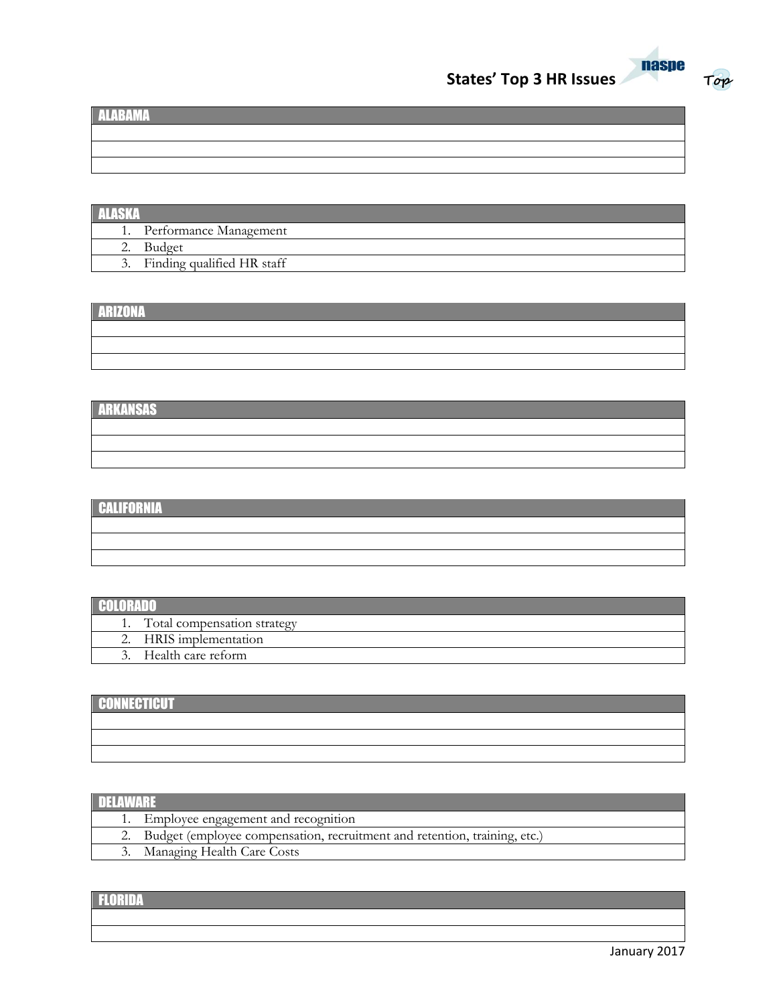



**Top**

| <b>ALARAMA</b> |  |
|----------------|--|
|                |  |
|                |  |

| <b>ALASKA</b> |                           |
|---------------|---------------------------|
|               | 1. Performance Management |
|               | $\mathbf{r}$              |

2. Budget 3. Finding qualified HR staff

#### ARIZONA

# ARKANSAS

# CALIFORNIA

| <b>GALITURNIA</b> |  |  |
|-------------------|--|--|
|                   |  |  |
|                   |  |  |
|                   |  |  |
|                   |  |  |

# **COLORADO**

| . |                             |
|---|-----------------------------|
|   | Total compensation strategy |
|   | HRIS implementation         |
|   | Health care reform          |
|   |                             |

# **CONNECTICUT**

| <b>PONNEOTIOU</b> |  |  |
|-------------------|--|--|
|                   |  |  |
|                   |  |  |
|                   |  |  |
|                   |  |  |
|                   |  |  |
|                   |  |  |
|                   |  |  |

#### DELAWARE

|  | 1. Employee engagement and recognition                                       |
|--|------------------------------------------------------------------------------|
|  | 2. Budget (employee compensation, recruitment and retention, training, etc.) |
|  | 3. Managing Health Care Costs                                                |
|  |                                                                              |

# FLORIDA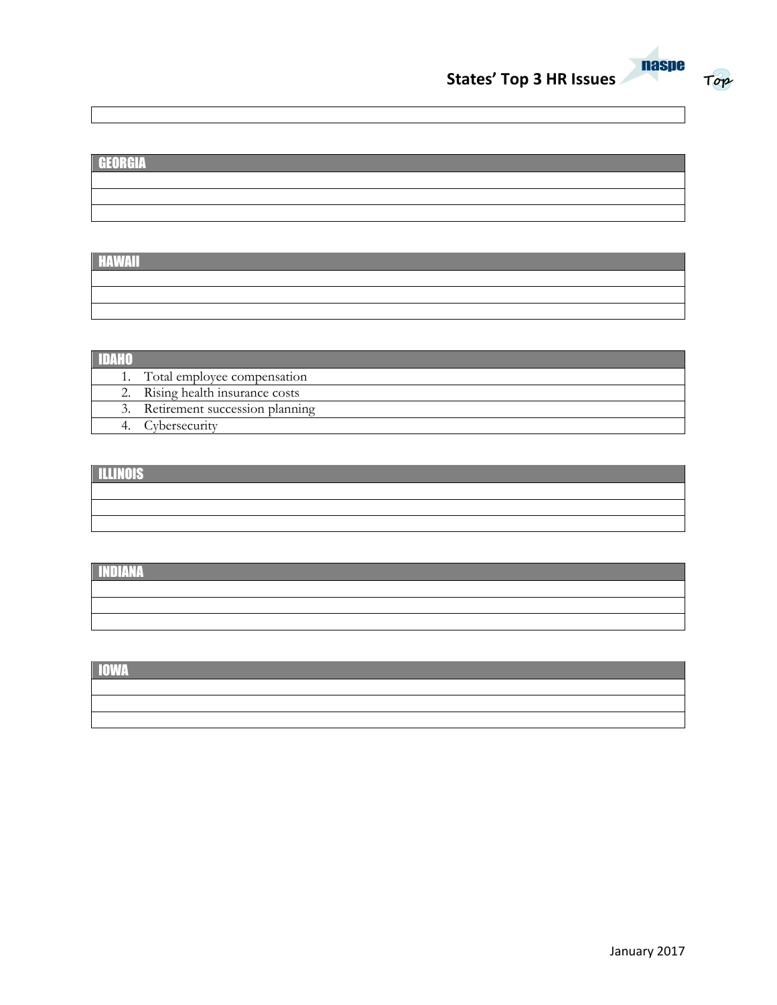



# GEORGIA

HAWAII

| Total employee compensation      |
|----------------------------------|
| 2. Rising health insurance costs |
| Retirement succession planning   |
| Cybersecurity                    |

## **ILLINOIS**

| ,一个人的人都是一个人的人,而且,我们的人都是一个人的人,而且,我们的人都是一个人的人,而且,我们的人都是一个人的人,我们的人都是一个人的人,我们的人都是一个人 |  |  |
|----------------------------------------------------------------------------------|--|--|
|                                                                                  |  |  |
|                                                                                  |  |  |

## INDIANA

IOWA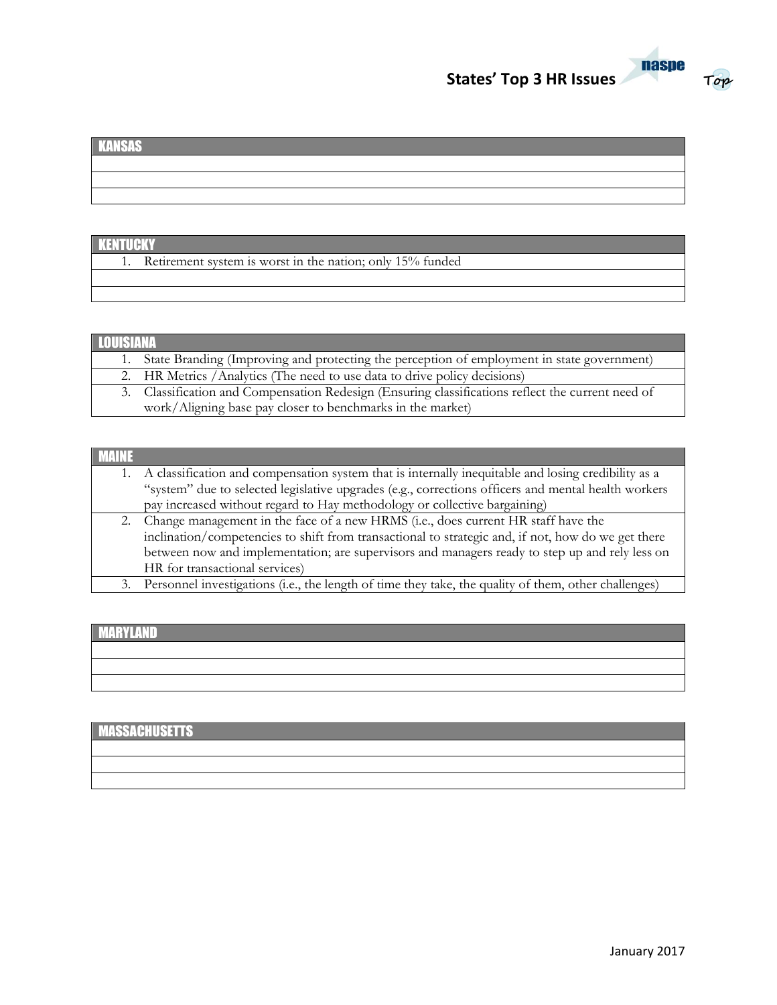



## KANSAS

## **KENTUCKY**

1. Retirement system is worst in the nation; only 15% funded

#### LOUISIAN

| 1. State Branding (Improving and protecting the perception of employment in state government)     |
|---------------------------------------------------------------------------------------------------|
| 2. HR Metrics / Analytics (The need to use data to drive policy decisions)                        |
| 3. Classification and Compensation Redesign (Ensuring classifications reflect the current need of |
| work/Aligning base pay closer to benchmarks in the market)                                        |

#### MAINE

|    | 1. A classification and compensation system that is internally inequitable and losing credibility as a |
|----|--------------------------------------------------------------------------------------------------------|
|    | "system" due to selected legislative upgrades (e.g., corrections officers and mental health workers    |
|    | pay increased without regard to Hay methodology or collective bargaining)                              |
|    | 2. Change management in the face of a new HRMS (i.e., does current HR staff have the                   |
|    | inclination/competencies to shift from transactional to strategic and, if not, how do we get there     |
|    | between now and implementation; are supervisors and managers ready to step up and rely less on         |
|    | HR for transactional services)                                                                         |
| 3. | Personnel investigations (i.e., the length of time they take, the quality of them, other challenges)   |

# MARYLAND

# **MASSACHUSETTS**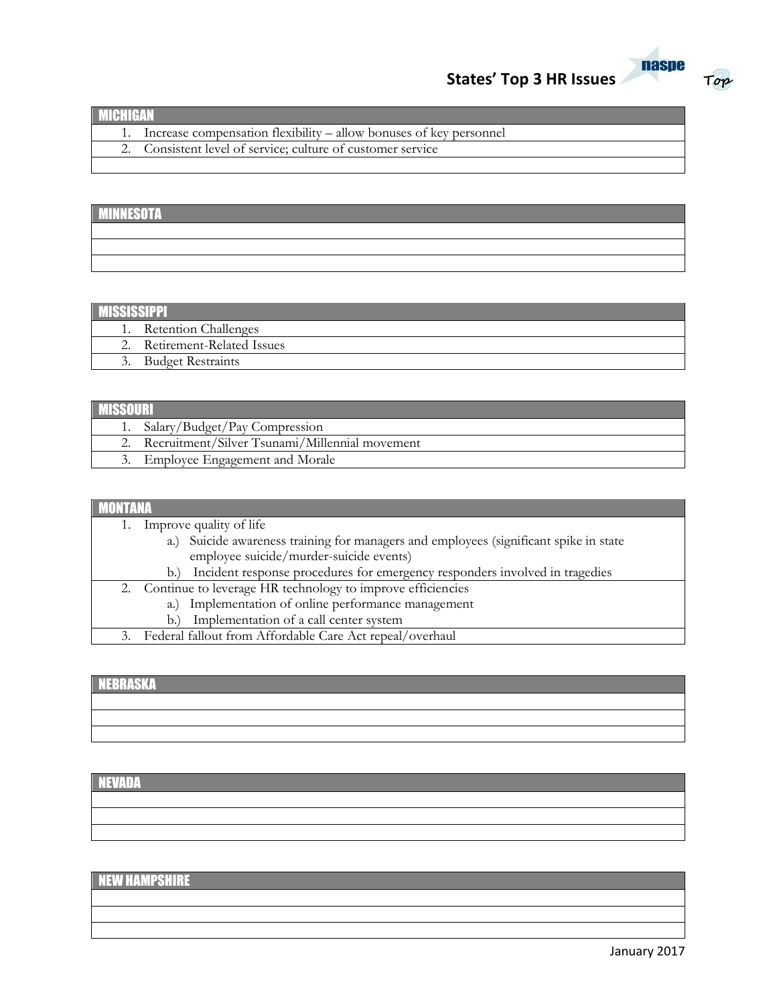



| <b>MICHIGAN</b> |                                                                    |
|-----------------|--------------------------------------------------------------------|
|                 | Increase compensation flexibility – allow bonuses of key personnel |
|                 | 2. Consistent level of service; culture of customer service        |
|                 |                                                                    |

# **MINNESOTA**

|  |  | <u> 1989 - Ann an Dùbhlachd ann an Dùbhlachd ann an Dùbhlachd ann an Dùbhlachd ann an Dùbhlachd ann an Dùbhlachd a</u> |
|--|--|------------------------------------------------------------------------------------------------------------------------|
|  |  | <u> 1990 - Jan Sarajević, politički predsjednik i politički staročnik i politički staročnik i politički staročnik</u>  |
|  |  |                                                                                                                        |

## **MISSISSIPPI**

| . |                             |  |
|---|-----------------------------|--|
|   | <b>Retention Challenges</b> |  |
|   | Retirement-Related Issues   |  |
|   | <b>Budget Restraints</b>    |  |
|   |                             |  |

| <b>MISSOUR</b> |                                                |  |
|----------------|------------------------------------------------|--|
|                | 1. Salary/Budget/Pay Compression               |  |
|                | Recruitment/Silver Tsunami/Millennial movement |  |
|                | Employee Engagement and Morale                 |  |

| Improve quality of life                                                               |
|---------------------------------------------------------------------------------------|
| a.) Suicide awareness training for managers and employees (significant spike in state |
| employee suicide/murder-suicide events)                                               |
| Incident response procedures for emergency responders involved in tragedies<br>b.     |
| 2. Continue to leverage HR technology to improve efficiencies                         |
| Implementation of online performance management<br>a.)                                |
| Implementation of a call center system<br>b.                                          |
| Federal fallout from Affordable Care Act repeal/overhaul<br>3.                        |

## NEBRASKA

## NEVADA

# NEW HAMPSHIRE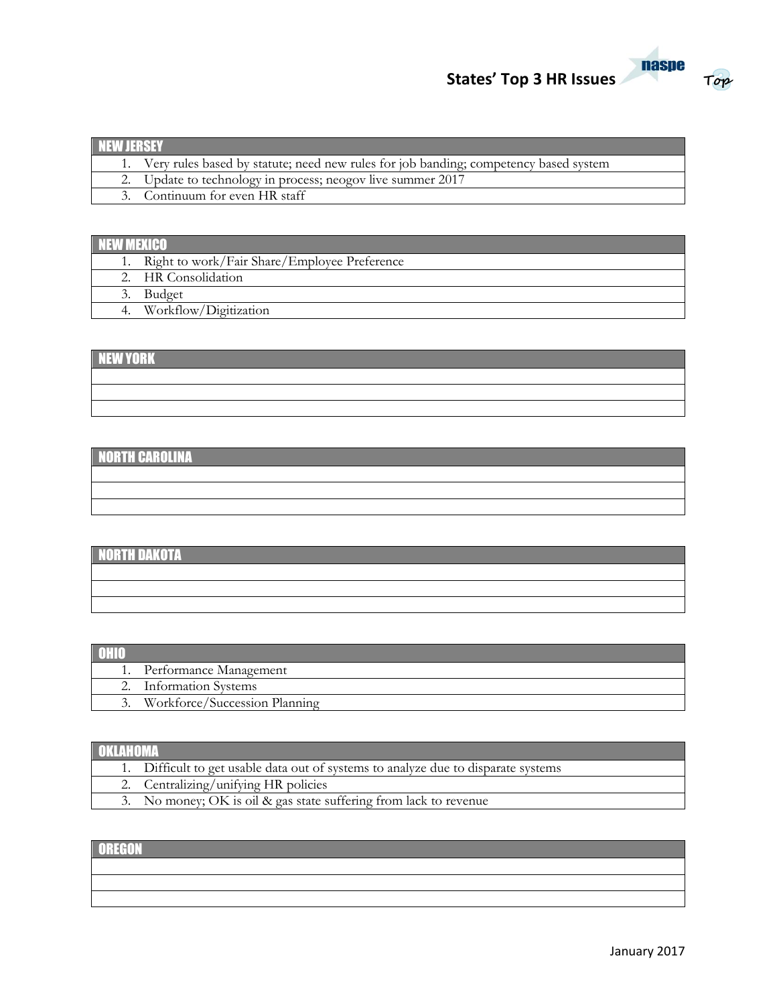



| INEW IERSEY |                                                                                         |  |
|-------------|-----------------------------------------------------------------------------------------|--|
|             | 1. Very rules based by statute; need new rules for job banding; competency based system |  |
|             | 2. Update to technology in process; neogov live summer 2017                             |  |
|             | 3. Continuum for even HR staff                                                          |  |

# **NEW MEXICO**

| . |                                                 |
|---|-------------------------------------------------|
|   | 1. Right to work/Fair Share/Employee Preference |
|   | 2. HR Consolidation                             |
|   | <b>Budget</b>                                   |
|   | Workflow/Digitization                           |

# NEW YORK

# NORTH CAROLINA

# NORTH DAKOTA

| 1. Performance Management     |
|-------------------------------|
| 2. Information Systems        |
| Workforce/Succession Planning |

## **OKLAHOMA**

| 1. Difficult to get usable data out of systems to analyze due to disparate systems |
|------------------------------------------------------------------------------------|
| 2. Centralizing/unifying HR policies                                               |
| 3. No money; OK is oil & gas state suffering from lack to revenue                  |

## **OREGON**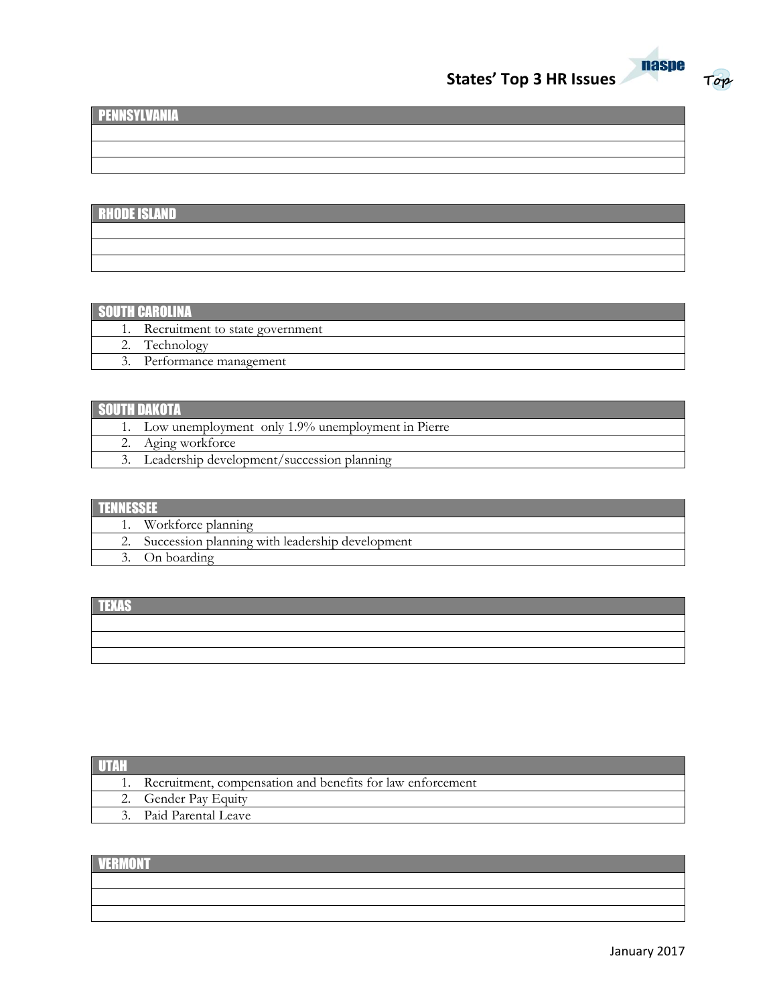



**Top**

# PENNSYLVANIA

# RHODE ISLAND

## SOUTH CAROLINA

| .                               |
|---------------------------------|
| Recruitment to state government |
| Technology                      |
| Performance management          |
|                                 |

| I SOL | 1 H H H H J J A M (4 H H H A M                       |
|-------|------------------------------------------------------|
|       | 1. Low unemployment only 1.9% unemployment in Pierre |
|       | Aging workforce                                      |
|       | Leadership development/succession planning           |

| Workforce planning                                 |
|----------------------------------------------------|
| 2. Succession planning with leadership development |
| 3. On boarding                                     |

| <b>TEXAS</b> |  |  |
|--------------|--|--|
|              |  |  |
|              |  |  |
|              |  |  |

| 1. Recruitment, compensation and benefits for law enforcement |
|---------------------------------------------------------------|
| 2. Gender Pay Equity                                          |
| 3. Paid Parental Leave                                        |
|                                                               |

# **VERMONT**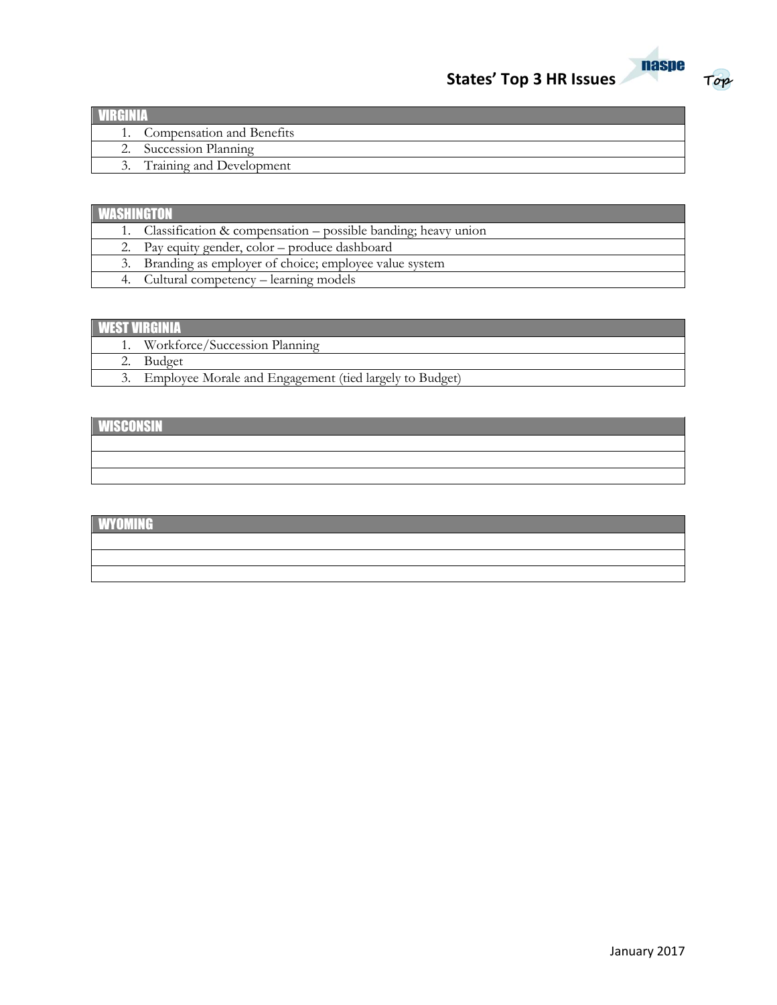



| 1. Compensation and Benefits |  |
|------------------------------|--|
| 2. Succession Planning       |  |
| 3. Training and Development  |  |

| <b>AWISHING OVE</b> |                                                                  |  |
|---------------------|------------------------------------------------------------------|--|
|                     | 1. Classification & compensation – possible banding; heavy union |  |
|                     | 2. Pay equity gender, color – produce dashboard                  |  |
|                     | 3. Branding as employer of choice; employee value system         |  |
|                     | 4. Cultural competency – learning models                         |  |

# WEST VIRGINIA

| Workforce/Succession Planning                              |
|------------------------------------------------------------|
| Budget                                                     |
| 3. Employee Morale and Engagement (tied largely to Budget) |

# **WISCONSIN**

## **WYOMING**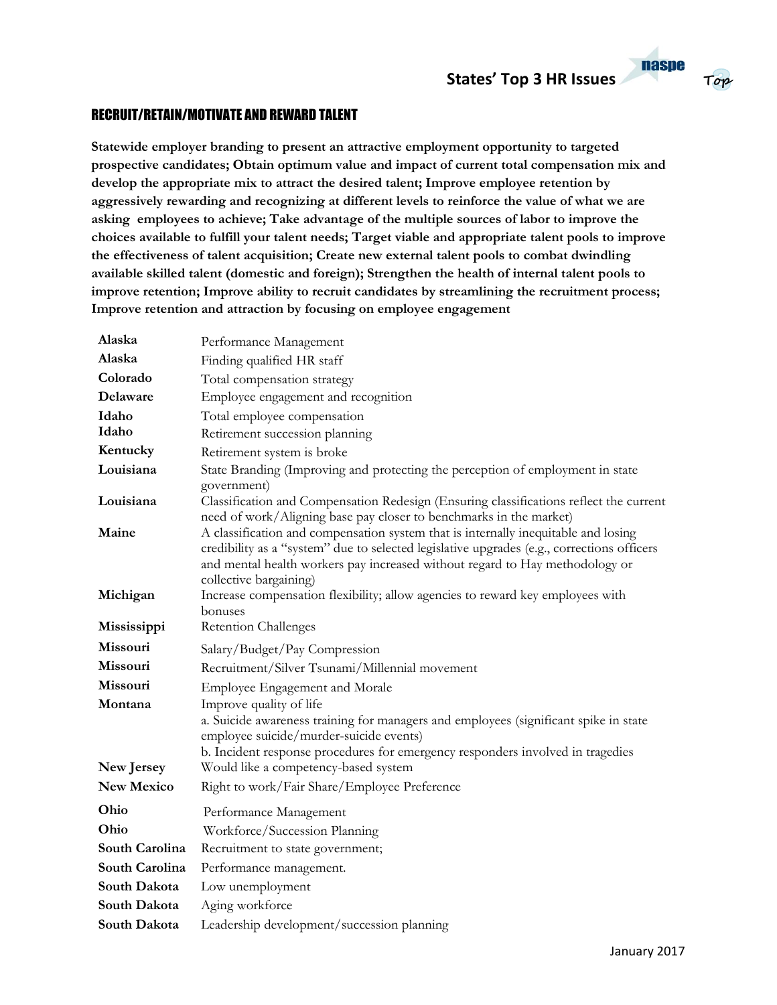#### **nasne Top**

#### RECRUIT/RETAIN/MOTIVATE AND REWARD TALENT

**Statewide employer branding to present an attractive employment opportunity to targeted prospective candidates; Obtain optimum value and impact of current total compensation mix and develop the appropriate mix to attract the desired talent; Improve employee retention by aggressively rewarding and recognizing at different levels to reinforce the value of what we are asking employees to achieve; Take advantage of the multiple sources of labor to improve the choices available to fulfill your talent needs; Target viable and appropriate talent pools to improve the effectiveness of talent acquisition; Create new external talent pools to combat dwindling available skilled talent (domestic and foreign); Strengthen the health of internal talent pools to improve retention; Improve ability to recruit candidates by streamlining the recruitment process; Improve retention and attraction by focusing on employee engagement**

| Alaska            | Performance Management                                                                                                                                                                                                                                                                     |
|-------------------|--------------------------------------------------------------------------------------------------------------------------------------------------------------------------------------------------------------------------------------------------------------------------------------------|
| Alaska            | Finding qualified HR staff                                                                                                                                                                                                                                                                 |
| Colorado          | Total compensation strategy                                                                                                                                                                                                                                                                |
| Delaware          | Employee engagement and recognition                                                                                                                                                                                                                                                        |
| Idaho             | Total employee compensation                                                                                                                                                                                                                                                                |
| Idaho             | Retirement succession planning                                                                                                                                                                                                                                                             |
| Kentucky          | Retirement system is broke                                                                                                                                                                                                                                                                 |
| Louisiana         | State Branding (Improving and protecting the perception of employment in state<br>government)                                                                                                                                                                                              |
| Louisiana         | Classification and Compensation Redesign (Ensuring classifications reflect the current<br>need of work/Aligning base pay closer to benchmarks in the market)                                                                                                                               |
| Maine             | A classification and compensation system that is internally inequitable and losing<br>credibility as a "system" due to selected legislative upgrades (e.g., corrections officers<br>and mental health workers pay increased without regard to Hay methodology or<br>collective bargaining) |
| Michigan          | Increase compensation flexibility; allow agencies to reward key employees with<br>bonuses                                                                                                                                                                                                  |
| Mississippi       | <b>Retention Challenges</b>                                                                                                                                                                                                                                                                |
| Missouri          | Salary/Budget/Pay Compression                                                                                                                                                                                                                                                              |
| Missouri          | Recruitment/Silver Tsunami/Millennial movement                                                                                                                                                                                                                                             |
| Missouri          | Employee Engagement and Morale                                                                                                                                                                                                                                                             |
| Montana           | Improve quality of life                                                                                                                                                                                                                                                                    |
|                   | a. Suicide awareness training for managers and employees (significant spike in state<br>employee suicide/murder-suicide events)                                                                                                                                                            |
|                   | b. Incident response procedures for emergency responders involved in tragedies                                                                                                                                                                                                             |
| New Jersey        | Would like a competency-based system                                                                                                                                                                                                                                                       |
| <b>New Mexico</b> | Right to work/Fair Share/Employee Preference                                                                                                                                                                                                                                               |
| Ohio              | Performance Management                                                                                                                                                                                                                                                                     |
| Ohio              | Workforce/Succession Planning                                                                                                                                                                                                                                                              |
| South Carolina    | Recruitment to state government;                                                                                                                                                                                                                                                           |
| South Carolina    | Performance management.                                                                                                                                                                                                                                                                    |
| South Dakota      | Low unemployment                                                                                                                                                                                                                                                                           |
| South Dakota      | Aging workforce                                                                                                                                                                                                                                                                            |
| South Dakota      | Leadership development/succession planning                                                                                                                                                                                                                                                 |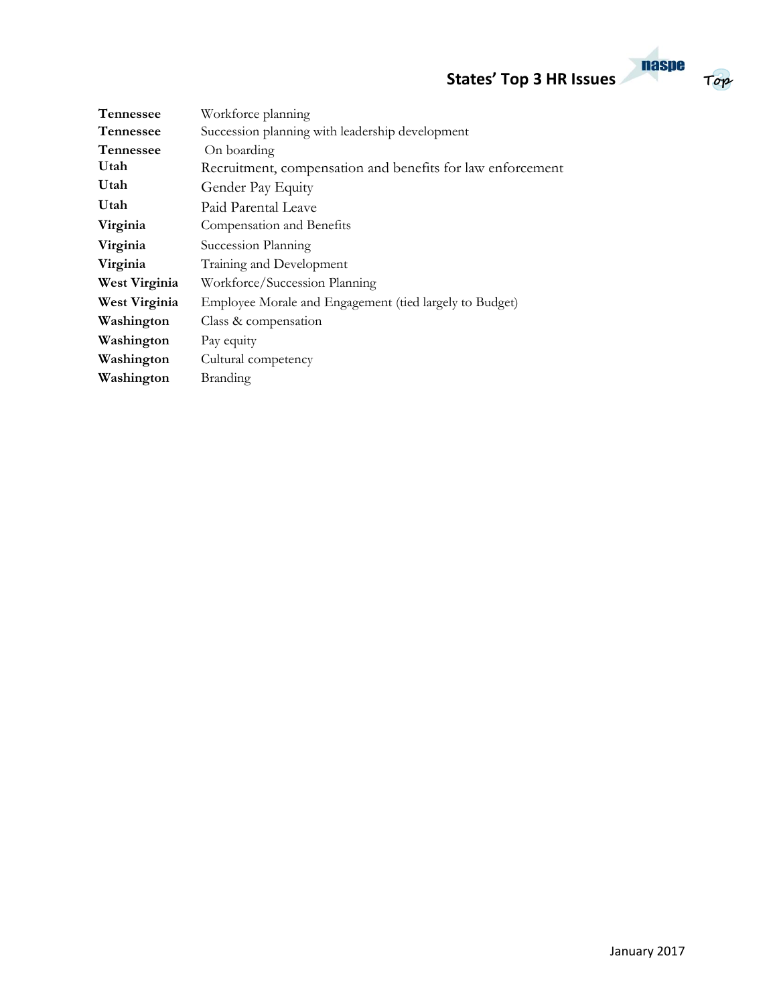**States' Top 3 HR Issues**

| <b>naspe</b> |     |
|--------------|-----|
| ς            | Top |

| <b>Tennessee</b> | Workforce planning                                         |
|------------------|------------------------------------------------------------|
| <b>Tennessee</b> | Succession planning with leadership development            |
| <b>Tennessee</b> | On boarding                                                |
| Utah             | Recruitment, compensation and benefits for law enforcement |
| Utah             | Gender Pay Equity                                          |
| Utah             | Paid Parental Leave                                        |
| Virginia         | Compensation and Benefits                                  |
| Virginia         | Succession Planning                                        |
| Virginia         | Training and Development                                   |
| West Virginia    | Workforce/Succession Planning                              |
| West Virginia    | Employee Morale and Engagement (tied largely to Budget)    |
| Washington       | Class & compensation                                       |
| Washington       | Pay equity                                                 |
| Washington       | Cultural competency                                        |
| Washington       | <b>Branding</b>                                            |
|                  |                                                            |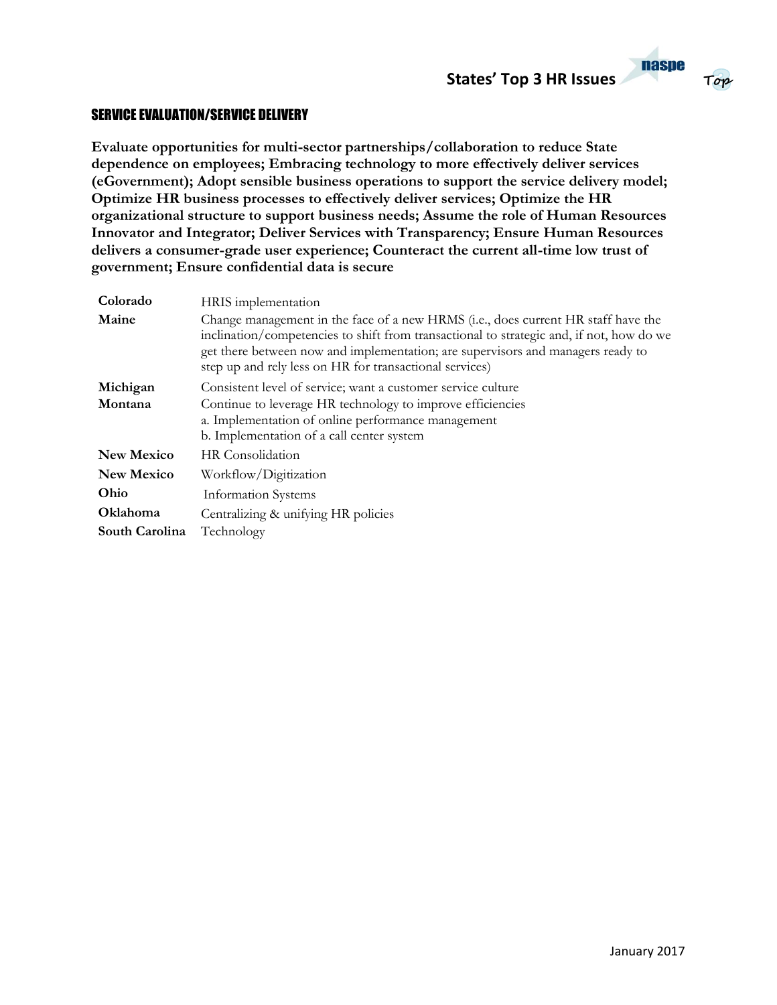

#### SERVICE EVALUATION/SERVICE DELIVERY

**Evaluate opportunities for multi-sector partnerships/collaboration to reduce State dependence on employees; Embracing technology to more effectively deliver services (eGovernment); Adopt sensible business operations to support the service delivery model; Optimize HR business processes to effectively deliver services; Optimize the HR organizational structure to support business needs; Assume the role of Human Resources Innovator and Integrator; Deliver Services with Transparency; Ensure Human Resources delivers a consumer-grade user experience; Counteract the current all-time low trust of government; Ensure confidential data is secure**

| Colorado          | HRIS implementation                                                                                                                                                                                                                                                                                                         |
|-------------------|-----------------------------------------------------------------------------------------------------------------------------------------------------------------------------------------------------------------------------------------------------------------------------------------------------------------------------|
| Maine             | Change management in the face of a new HRMS (i.e., does current HR staff have the<br>inclination/competencies to shift from transactional to strategic and, if not, how do we<br>get there between now and implementation; are supervisors and managers ready to<br>step up and rely less on HR for transactional services) |
| Michigan          | Consistent level of service; want a customer service culture                                                                                                                                                                                                                                                                |
| Montana           | Continue to leverage HR technology to improve efficiencies                                                                                                                                                                                                                                                                  |
|                   | a. Implementation of online performance management                                                                                                                                                                                                                                                                          |
|                   | b. Implementation of a call center system                                                                                                                                                                                                                                                                                   |
| <b>New Mexico</b> | HR Consolidation                                                                                                                                                                                                                                                                                                            |
| <b>New Mexico</b> | Workflow/Digitization                                                                                                                                                                                                                                                                                                       |
| Ohio              | <b>Information Systems</b>                                                                                                                                                                                                                                                                                                  |
| <b>Oklahoma</b>   | Centralizing & unifying HR policies                                                                                                                                                                                                                                                                                         |
| South Carolina    | Technology                                                                                                                                                                                                                                                                                                                  |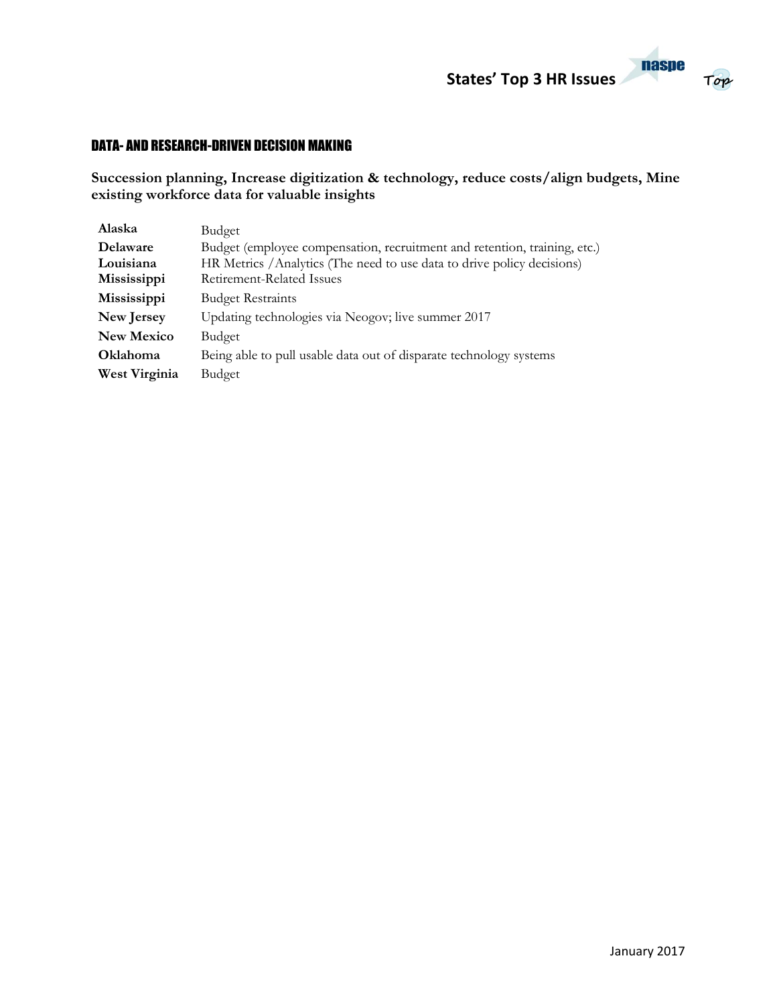

# **Top**

### DATA- AND RESEARCH-DRIVEN DECISION MAKING

**Succession planning, Increase digitization & technology, reduce costs/align budgets, Mine existing workforce data for valuable insights**

| Alaska            | Budget                                                                    |
|-------------------|---------------------------------------------------------------------------|
| Delaware          | Budget (employee compensation, recruitment and retention, training, etc.) |
| Louisiana         | HR Metrics / Analytics (The need to use data to drive policy decisions)   |
| Mississippi       | Retirement-Related Issues                                                 |
| Mississippi       | <b>Budget Restraints</b>                                                  |
| New Jersey        | Updating technologies via Neogov; live summer 2017                        |
| <b>New Mexico</b> | Budget                                                                    |
| <b>Oklahoma</b>   | Being able to pull usable data out of disparate technology systems        |
| West Virginia     | Budget                                                                    |